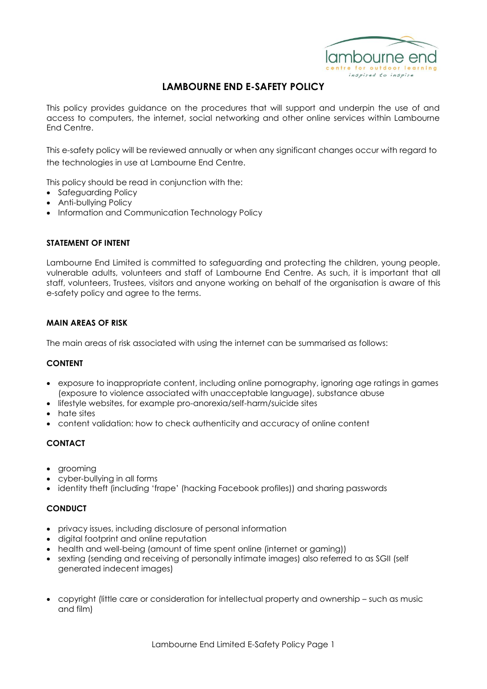

# **LAMBOURNE END E-SAFETY POLICY**

This policy provides guidance on the procedures that will support and underpin the use of and access to computers, the internet, social networking and other online services within Lambourne End Centre.

This e-safety policy will be reviewed annually or when any significant changes occur with regard to the technologies in use at Lambourne End Centre.

This policy should be read in conjunction with the:

- Safeguarding Policy
- Anti-bullying Policy
- Information and Communication Technology Policy

#### **STATEMENT OF INTENT**

Lambourne End Limited is committed to safeguarding and protecting the children, young people, vulnerable adults, volunteers and staff of Lambourne End Centre. As such, it is important that all staff, volunteers, Trustees, visitors and anyone working on behalf of the organisation is aware of this e-safety policy and agree to the terms.

### **MAIN AREAS OF RISK**

The main areas of risk associated with using the internet can be summarised as follows:

#### **CONTENT**

- exposure to inappropriate content, including online pornography, ignoring age ratings in games (exposure to violence associated with unacceptable language), substance abuse
- lifestyle websites, for example pro-anorexia/self-harm/suicide sites
- hate sites
- content validation: how to check authenticity and accuracy of online content

## **CONTACT**

- aroomina
- cyber-bullying in all forms
- identity theft (including 'frape' (hacking Facebook profiles)) and sharing passwords

### **CONDUCT**

- privacy issues, including disclosure of personal information
- digital footprint and online reputation
- health and well-being (amount of time spent online (internet or gaming))
- sexting (sending and receiving of personally intimate images) also referred to as SGII (self generated indecent images)
- copyright (little care or consideration for intellectual property and ownership such as music and film)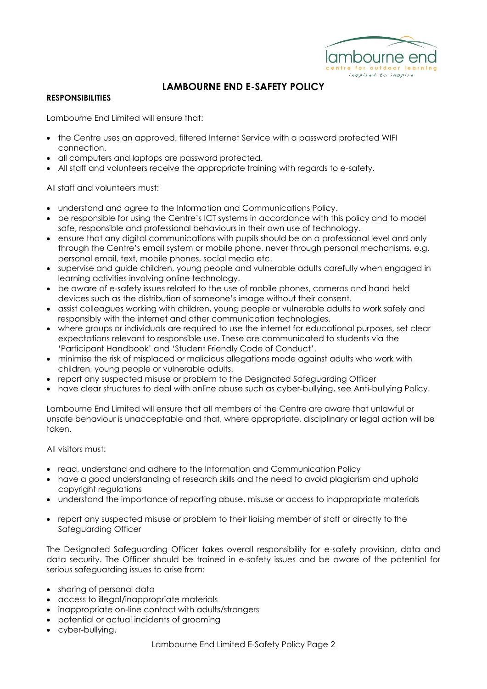

# **LAMBOURNE END E-SAFETY POLICY**

## **RESPONSIBILITIES**

Lambourne End Limited will ensure that:

- the Centre uses an approved, filtered Internet Service with a password protected WIFI connection.
- all computers and laptops are password protected.
- All staff and volunteers receive the appropriate training with regards to e-safety.

All staff and volunteers must:

- understand and agree to the Information and Communications Policy.
- be responsible for using the Centre's ICT systems in accordance with this policy and to model safe, responsible and professional behaviours in their own use of technology.
- ensure that any digital communications with pupils should be on a professional level and only through the Centre's email system or mobile phone, never through personal mechanisms, e.g. personal email, text, mobile phones, social media etc.
- supervise and guide children, young people and vulnerable adults carefully when engaged in learning activities involving online technology.
- be aware of e-safety issues related to the use of mobile phones, cameras and hand held devices such as the distribution of someone's image without their consent.
- assist colleagues working with children, young people or vulnerable adults to work safely and responsibly with the internet and other communication technologies.
- where groups or individuals are required to use the internet for educational purposes, set clear expectations relevant to responsible use. These are communicated to students via the 'Participant Handbook' and 'Student Friendly Code of Conduct'.
- minimise the risk of misplaced or malicious allegations made against adults who work with children, young people or vulnerable adults.
- report any suspected misuse or problem to the Designated Safeguarding Officer
- have clear structures to deal with online abuse such as cyber-bullying, see Anti-bullying Policy.

Lambourne End Limited will ensure that all members of the Centre are aware that unlawful or unsafe behaviour is unacceptable and that, where appropriate, disciplinary or legal action will be taken.

All visitors must:

- read, understand and adhere to the Information and Communication Policy
- have a good understanding of research skills and the need to avoid plagiarism and uphold copyright regulations
- understand the importance of reporting abuse, misuse or access to inappropriate materials
- report any suspected misuse or problem to their liaising member of staff or directly to the Safeguarding Officer

The Designated Safeguarding Officer takes overall responsibility for e-safety provision, data and data security. The Officer should be trained in e-safety issues and be aware of the potential for serious safeguarding issues to arise from:

- sharing of personal data
- access to illegal/inappropriate materials
- inappropriate on-line contact with adults/strangers
- potential or actual incidents of grooming
- cyber-bullying.